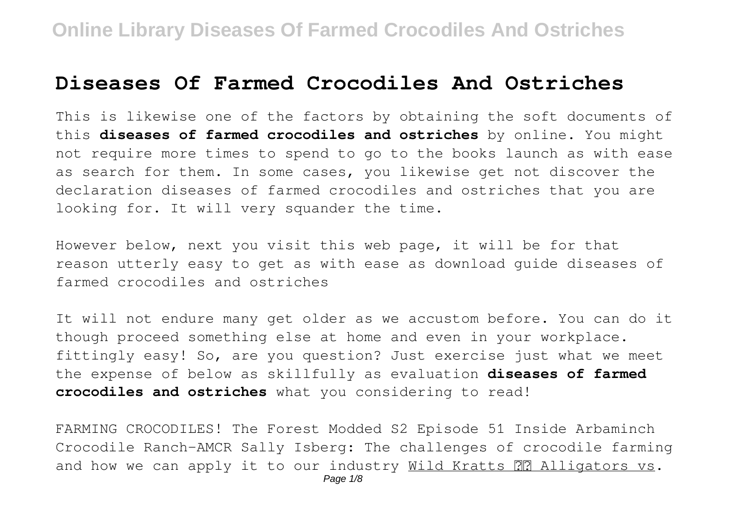### **Diseases Of Farmed Crocodiles And Ostriches**

This is likewise one of the factors by obtaining the soft documents of this **diseases of farmed crocodiles and ostriches** by online. You might not require more times to spend to go to the books launch as with ease as search for them. In some cases, you likewise get not discover the declaration diseases of farmed crocodiles and ostriches that you are looking for. It will very squander the time.

However below, next you visit this web page, it will be for that reason utterly easy to get as with ease as download guide diseases of farmed crocodiles and ostriches

It will not endure many get older as we accustom before. You can do it though proceed something else at home and even in your workplace. fittingly easy! So, are you question? Just exercise just what we meet the expense of below as skillfully as evaluation **diseases of farmed crocodiles and ostriches** what you considering to read!

FARMING CROCODILES! The Forest Modded S2 Episode 51 Inside Arbaminch Crocodile Ranch-AMCR Sally Isberg: The challenges of crocodile farming and how we can apply it to our industry Wild Kratts **PR** Alligators vs.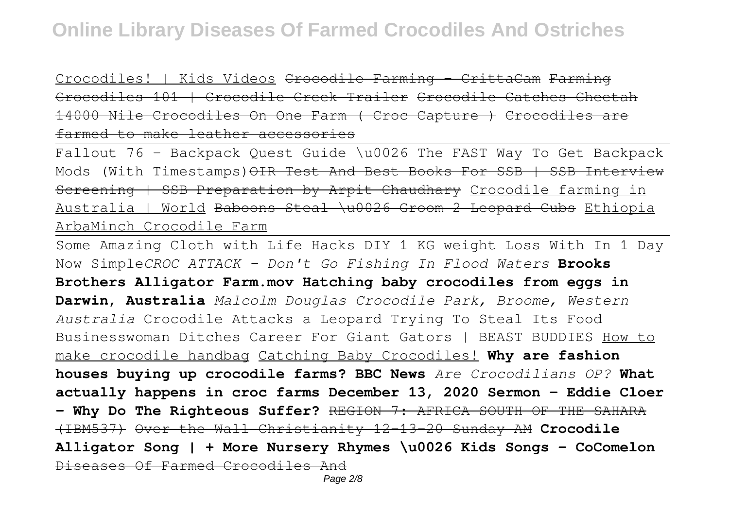Crocodiles! | Kids Videos Crocodile Farming - CrittaCam Farming Crocodiles 101 | Crocodile Creek Trailer Crocodile Catches Cheetah 14000 Nile Crocodiles On One Farm ( Croc Capture ) Crocodiles are farmed to make leather accessories

Fallout 76 - Backpack Quest Guide \u0026 The FAST Way To Get Backpack Mods (With Timestamps) OIR Test And Best Books For SSB | SSB Interview Screening | SSB Preparation by Arpit Chaudhary Crocodile farming in Australia | World Baboons Steal \u0026 Groom 2 Leopard Cubs Ethiopia ArbaMinch Crocodile Farm

Some Amazing Cloth with Life Hacks DIY 1 KG weight Loss With In 1 Day Now Simple*CROC ATTACK - Don't Go Fishing In Flood Waters* **Brooks Brothers Alligator Farm.mov Hatching baby crocodiles from eggs in Darwin, Australia** *Malcolm Douglas Crocodile Park, Broome, Western Australia* Crocodile Attacks a Leopard Trying To Steal Its Food Businesswoman Ditches Career For Giant Gators | BEAST BUDDIES How to make crocodile handbag Catching Baby Crocodiles! **Why are fashion houses buying up crocodile farms? BBC News** *Are Crocodilians OP?* **What actually happens in croc farms December 13, 2020 Sermon - Eddie Cloer - Why Do The Righteous Suffer?** REGION 7: AFRICA SOUTH OF THE SAHARA (IBM537) Over the Wall Christianity 12-13-20 Sunday AM **Crocodile Alligator Song | + More Nursery Rhymes \u0026 Kids Songs - CoComelon** Diseases Of Farmed Crocodiles And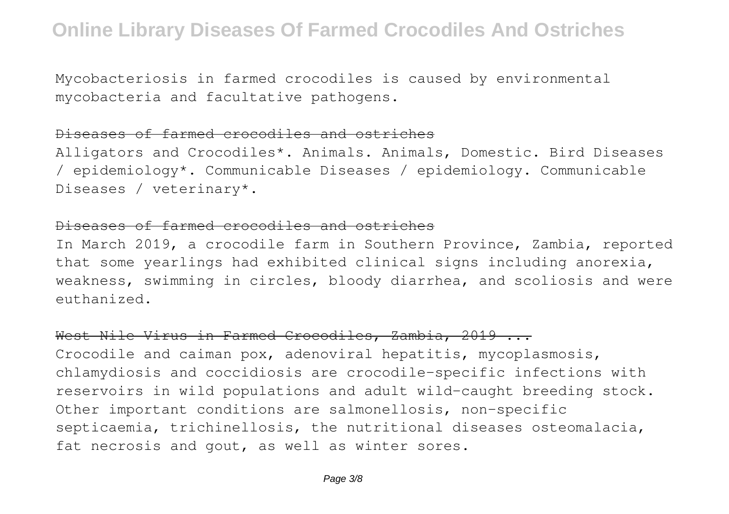Mycobacteriosis in farmed crocodiles is caused by environmental mycobacteria and facultative pathogens.

#### Diseases of farmed crocodiles and ostriches

Alligators and Crocodiles\*. Animals. Animals, Domestic. Bird Diseases / epidemiology\*. Communicable Diseases / epidemiology. Communicable Diseases / veterinary\*.

#### Diseases of farmed crocodiles and ostriches

In March 2019, a crocodile farm in Southern Province, Zambia, reported that some yearlings had exhibited clinical signs including anorexia, weakness, swimming in circles, bloody diarrhea, and scoliosis and were euthanized.

#### West Nile Virus in Farmed Crocodiles, Zambia, 2019 ...

Crocodile and caiman pox, adenoviral hepatitis, mycoplasmosis, chlamydiosis and coccidiosis are crocodile-specific infections with reservoirs in wild populations and adult wild-caught breeding stock. Other important conditions are salmonellosis, non-specific septicaemia, trichinellosis, the nutritional diseases osteomalacia, fat necrosis and gout, as well as winter sores.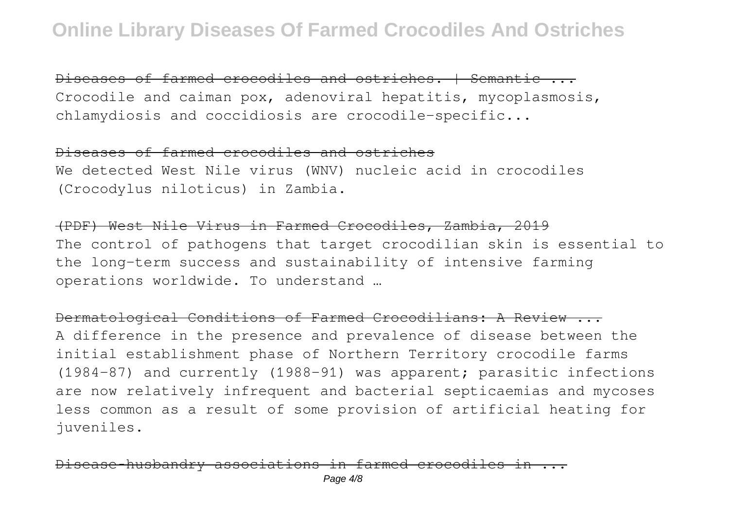Diseases of farmed crocodiles and ostriches. | Semantic ... Crocodile and caiman pox, adenoviral hepatitis, mycoplasmosis, chlamydiosis and coccidiosis are crocodile-specific...

#### Diseases of farmed crocodiles and ostriches

We detected West Nile virus (WNV) nucleic acid in crocodiles (Crocodylus niloticus) in Zambia.

(PDF) West Nile Virus in Farmed Crocodiles, Zambia, 2019 The control of pathogens that target crocodilian skin is essential to the long-term success and sustainability of intensive farming operations worldwide. To understand …

Dermatological Conditions of Farmed Crocodilians: A Review ... A difference in the presence and prevalence of disease between the initial establishment phase of Northern Territory crocodile farms (1984–87) and currently (1988–91) was apparent; parasitic infections are now relatively infrequent and bacterial septicaemias and mycoses less common as a result of some provision of artificial heating for juveniles.

Disease‐husbandry associations in farmed crocodiles in ...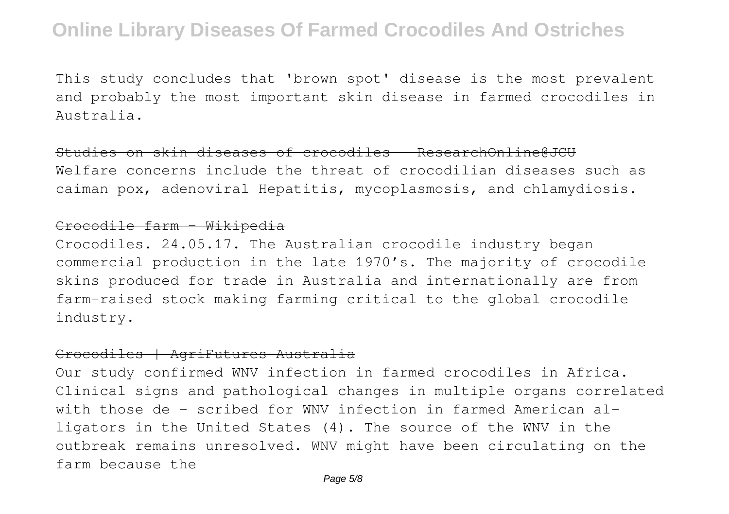This study concludes that 'brown spot' disease is the most prevalent and probably the most important skin disease in farmed crocodiles in Australia.

#### Studies on skin diseases of crocodiles - ResearchOnline@JCU

Welfare concerns include the threat of crocodilian diseases such as caiman pox, adenoviral Hepatitis, mycoplasmosis, and chlamydiosis.

#### Crocodile farm - Wikipedia

Crocodiles. 24.05.17. The Australian crocodile industry began commercial production in the late 1970's. The majority of crocodile skins produced for trade in Australia and internationally are from farm-raised stock making farming critical to the global crocodile industry.

#### Crocodiles | AgriFutures Australia

Our study confirmed WNV infection in farmed crocodiles in Africa. Clinical signs and pathological changes in multiple organs correlated with those de - scribed for WNV infection in farmed American alligators in the United States (4). The source of the WNV in the outbreak remains unresolved. WNV might have been circulating on the farm because the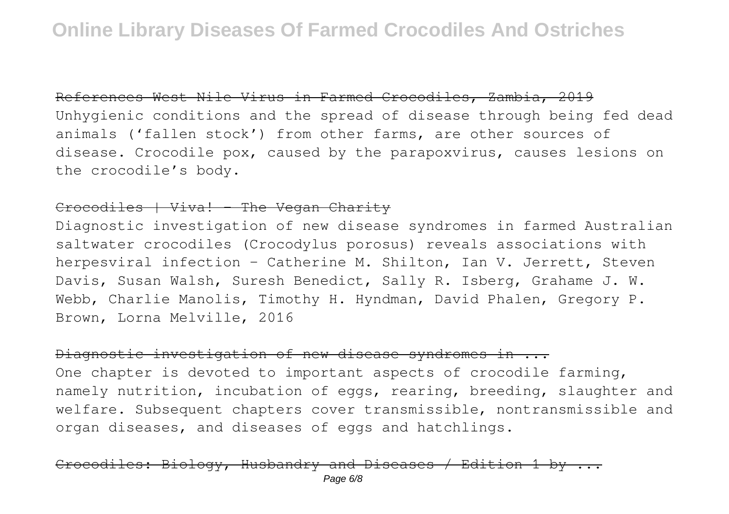#### References West Nile Virus in Farmed Crocodiles, Zambia, 2019

Unhygienic conditions and the spread of disease through being fed dead animals ('fallen stock') from other farms, are other sources of disease. Crocodile pox, caused by the parapoxvirus, causes lesions on the crocodile's body.

#### Crocodiles | Viva! - The Vegan Charity

Diagnostic investigation of new disease syndromes in farmed Australian saltwater crocodiles (Crocodylus porosus) reveals associations with herpesviral infection - Catherine M. Shilton, Ian V. Jerrett, Steven Davis, Susan Walsh, Suresh Benedict, Sally R. Isberg, Grahame J. W. Webb, Charlie Manolis, Timothy H. Hyndman, David Phalen, Gregory P. Brown, Lorna Melville, 2016

#### Diagnostic investigation of new disease syndromes in ...

One chapter is devoted to important aspects of crocodile farming, namely nutrition, incubation of eggs, rearing, breeding, slaughter and welfare. Subsequent chapters cover transmissible, nontransmissible and organ diseases, and diseases of eggs and hatchlings.

# Biology, Husbandry and Diseases / Edition 1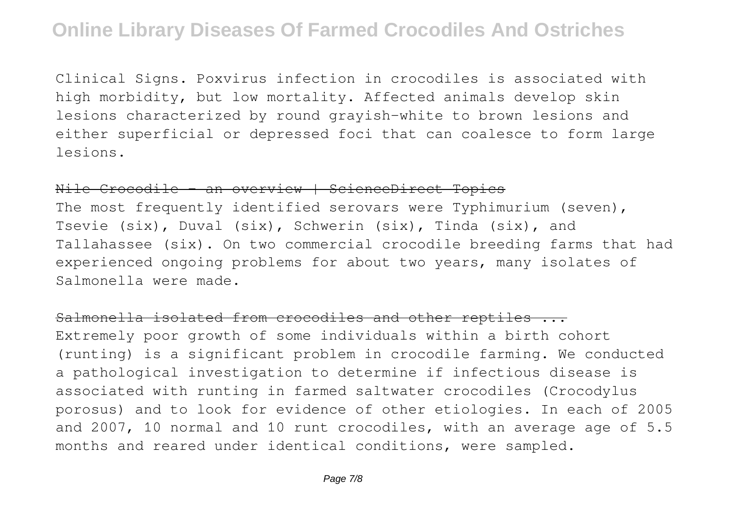Clinical Signs. Poxvirus infection in crocodiles is associated with high morbidity, but low mortality. Affected animals develop skin lesions characterized by round grayish-white to brown lesions and either superficial or depressed foci that can coalesce to form large lesions.

Nile Crocodile - an overview | ScienceDirect Topics

The most frequently identified serovars were Typhimurium (seven), Tsevie (six), Duval (six), Schwerin (six), Tinda (six), and Tallahassee (six). On two commercial crocodile breeding farms that had experienced ongoing problems for about two years, many isolates of Salmonella were made.

Salmonella isolated from crocodiles and other reptiles ... Extremely poor growth of some individuals within a birth cohort (runting) is a significant problem in crocodile farming. We conducted a pathological investigation to determine if infectious disease is associated with runting in farmed saltwater crocodiles (Crocodylus porosus) and to look for evidence of other etiologies. In each of 2005 and 2007, 10 normal and 10 runt crocodiles, with an average age of 5.5 months and reared under identical conditions, were sampled.